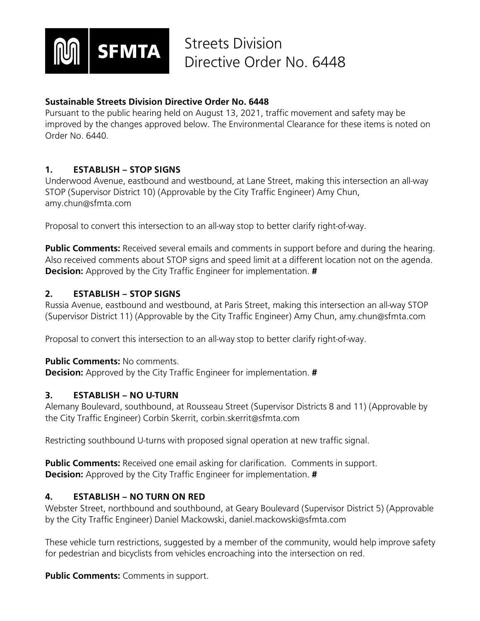

# **Sustainable Streets Division Directive Order No. 6448**

Pursuant to the public hearing held on August 13, 2021, traffic movement and safety may be improved by the changes approved below. The Environmental Clearance for these items is noted on Order No. 6440.

# **1. ESTABLISH – STOP SIGNS**

Underwood Avenue, eastbound and westbound, at Lane Street, making this intersection an all-way STOP (Supervisor District 10) (Approvable by the City Traffic Engineer) Amy Chun, amy.chun@sfmta.com

Proposal to convert this intersection to an all-way stop to better clarify right-of-way.

**Public Comments:** Received several emails and comments in support before and during the hearing. Also received comments about STOP signs and speed limit at a different location not on the agenda. **Decision:** Approved by the City Traffic Engineer for implementation. **#**

## **2. ESTABLISH – STOP SIGNS**

Russia Avenue, eastbound and westbound, at Paris Street, making this intersection an all-way STOP (Supervisor District 11) (Approvable by the City Traffic Engineer) Amy Chun, amy.chun@sfmta.com

Proposal to convert this intersection to an all-way stop to better clarify right-of-way.

## **Public Comments: No comments.**

**Decision:** Approved by the City Traffic Engineer for implementation. **#**

## **3. ESTABLISH – NO U-TURN**

Alemany Boulevard, southbound, at Rousseau Street (Supervisor Districts 8 and 11) (Approvable by the City Traffic Engineer) Corbin Skerrit, corbin.skerrit@sfmta.com

Restricting southbound U-turns with proposed signal operation at new traffic signal.

**Public Comments:** Received one email asking for clarification. Comments in support. **Decision:** Approved by the City Traffic Engineer for implementation. **#**

# **4. ESTABLISH – NO TURN ON RED**

Webster Street, northbound and southbound, at Geary Boulevard (Supervisor District 5) (Approvable by the City Traffic Engineer) Daniel Mackowski, daniel.mackowski@sfmta.com

These vehicle turn restrictions, suggested by a member of the community, would help improve safety for pedestrian and bicyclists from vehicles encroaching into the intersection on red.

**Public Comments:** Comments in support.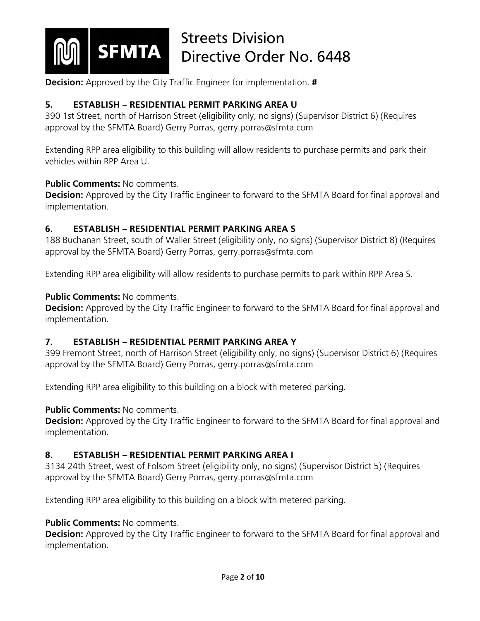

**Decision:** Approved by the City Traffic Engineer for implementation. **#**

# **5. ESTABLISH – RESIDENTIAL PERMIT PARKING AREA U**

390 1st Street, north of Harrison Street (eligibility only, no signs) (Supervisor District 6) (Requires approval by the SFMTA Board) Gerry Porras, gerry.porras@sfmta.com

Extending RPP area eligibility to this building will allow residents to purchase permits and park their vehicles within RPP Area U.

#### **Public Comments:** No comments.

**Decision:** Approved by the City Traffic Engineer to forward to the SFMTA Board for final approval and implementation.

## **6. ESTABLISH – RESIDENTIAL PERMIT PARKING AREA S**

188 Buchanan Street, south of Waller Street (eligibility only, no signs) (Supervisor District 8) (Requires approval by the SFMTA Board) Gerry Porras, gerry.porras@sfmta.com

Extending RPP area eligibility will allow residents to purchase permits to park within RPP Area S.

## **Public Comments: No comments.**

**Decision:** Approved by the City Traffic Engineer to forward to the SFMTA Board for final approval and implementation.

## **7. ESTABLISH – RESIDENTIAL PERMIT PARKING AREA Y**

399 Fremont Street, north of Harrison Street (eligibility only, no signs) (Supervisor District 6) (Requires approval by the SFMTA Board) Gerry Porras, gerry.porras@sfmta.com

Extending RPP area eligibility to this building on a block with metered parking.

## **Public Comments: No comments.**

**Decision:** Approved by the City Traffic Engineer to forward to the SFMTA Board for final approval and implementation.

# **8. ESTABLISH – RESIDENTIAL PERMIT PARKING AREA I**

3134 24th Street, west of Folsom Street (eligibility only, no signs) (Supervisor District 5) (Requires approval by the SFMTA Board) Gerry Porras, gerry.porras@sfmta.com

Extending RPP area eligibility to this building on a block with metered parking.

## **Public Comments: No comments.**

**Decision:** Approved by the City Traffic Engineer to forward to the SFMTA Board for final approval and implementation.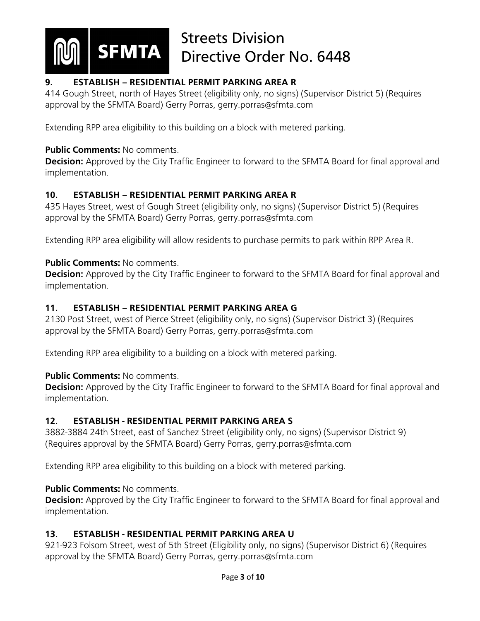

# **9. ESTABLISH – RESIDENTIAL PERMIT PARKING AREA R**

414 Gough Street, north of Hayes Street (eligibility only, no signs) (Supervisor District 5) (Requires approval by the SFMTA Board) Gerry Porras, gerry.porras@sfmta.com

Extending RPP area eligibility to this building on a block with metered parking.

## **Public Comments:** No comments.

**Decision:** Approved by the City Traffic Engineer to forward to the SFMTA Board for final approval and implementation.

# **10. ESTABLISH – RESIDENTIAL PERMIT PARKING AREA R**

435 Hayes Street, west of Gough Street (eligibility only, no signs) (Supervisor District 5) (Requires approval by the SFMTA Board) Gerry Porras, gerry.porras@sfmta.com

Extending RPP area eligibility will allow residents to purchase permits to park within RPP Area R.

## **Public Comments:** No comments.

**Decision:** Approved by the City Traffic Engineer to forward to the SFMTA Board for final approval and implementation.

# **11. ESTABLISH – RESIDENTIAL PERMIT PARKING AREA G**

2130 Post Street, west of Pierce Street (eligibility only, no signs) (Supervisor District 3) (Requires approval by the SFMTA Board) Gerry Porras, gerry.porras@sfmta.com

Extending RPP area eligibility to a building on a block with metered parking.

## **Public Comments: No comments.**

**Decision:** Approved by the City Traffic Engineer to forward to the SFMTA Board for final approval and implementation.

# **12. ESTABLISH - RESIDENTIAL PERMIT PARKING AREA S**

3882-3884 24th Street, east of Sanchez Street (eligibility only, no signs) (Supervisor District 9) (Requires approval by the SFMTA Board) Gerry Porras, gerry.porras@sfmta.com

Extending RPP area eligibility to this building on a block with metered parking.

# **Public Comments: No comments.**

**Decision:** Approved by the City Traffic Engineer to forward to the SFMTA Board for final approval and implementation.

# **13. ESTABLISH - RESIDENTIAL PERMIT PARKING AREA U**

921-923 Folsom Street, west of 5th Street (Eligibility only, no signs) (Supervisor District 6) (Requires approval by the SFMTA Board) Gerry Porras, gerry.porras@sfmta.com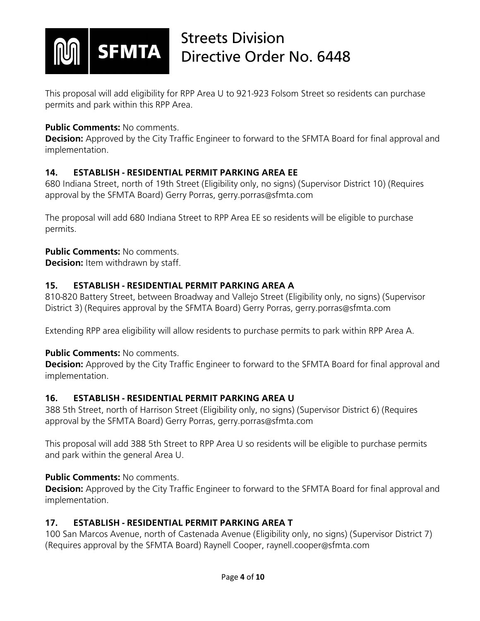

This proposal will add eligibility for RPP Area U to 921-923 Folsom Street so residents can purchase permits and park within this RPP Area.

## **Public Comments: No comments.**

**Decision:** Approved by the City Traffic Engineer to forward to the SFMTA Board for final approval and implementation.

# **14. ESTABLISH - RESIDENTIAL PERMIT PARKING AREA EE**

680 Indiana Street, north of 19th Street (Eligibility only, no signs) (Supervisor District 10) (Requires approval by the SFMTA Board) Gerry Porras, gerry.porras@sfmta.com

The proposal will add 680 Indiana Street to RPP Area EE so residents will be eligible to purchase permits.

## **Public Comments:** No comments.

**Decision:** Item withdrawn by staff.

# **15. ESTABLISH - RESIDENTIAL PERMIT PARKING AREA A**

810-820 Battery Street, between Broadway and Vallejo Street (Eligibility only, no signs) (Supervisor District 3) (Requires approval by the SFMTA Board) Gerry Porras, gerry.porras@sfmta.com

Extending RPP area eligibility will allow residents to purchase permits to park within RPP Area A.

## **Public Comments: No comments.**

**Decision:** Approved by the City Traffic Engineer to forward to the SFMTA Board for final approval and implementation.

# **16. ESTABLISH - RESIDENTIAL PERMIT PARKING AREA U**

388 5th Street, north of Harrison Street (Eligibility only, no signs) (Supervisor District 6) (Requires approval by the SFMTA Board) Gerry Porras, gerry.porras@sfmta.com

This proposal will add 388 5th Street to RPP Area U so residents will be eligible to purchase permits and park within the general Area U.

## **Public Comments:** No comments.

**Decision:** Approved by the City Traffic Engineer to forward to the SFMTA Board for final approval and implementation.

# **17. ESTABLISH - RESIDENTIAL PERMIT PARKING AREA T**

100 San Marcos Avenue, north of Castenada Avenue (Eligibility only, no signs) (Supervisor District 7) (Requires approval by the SFMTA Board) Raynell Cooper, raynell.cooper@sfmta.com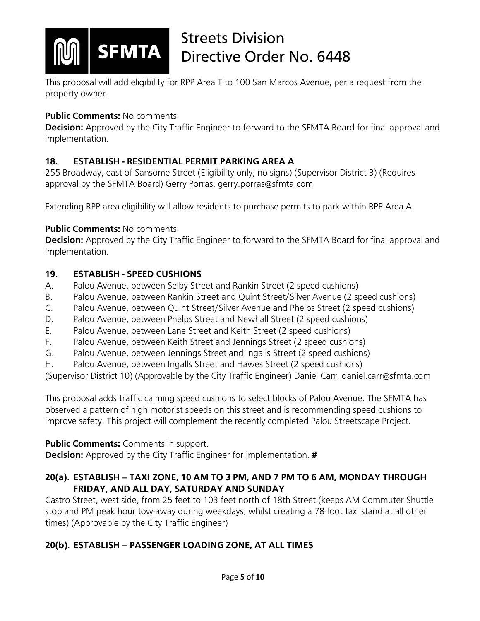

This proposal will add eligibility for RPP Area T to 100 San Marcos Avenue, per a request from the property owner.

# **Public Comments: No comments.**

**Decision:** Approved by the City Traffic Engineer to forward to the SFMTA Board for final approval and implementation.

# **18. ESTABLISH - RESIDENTIAL PERMIT PARKING AREA A**

255 Broadway, east of Sansome Street (Eligibility only, no signs) (Supervisor District 3) (Requires approval by the SFMTA Board) Gerry Porras, gerry.porras@sfmta.com

Extending RPP area eligibility will allow residents to purchase permits to park within RPP Area A.

# **Public Comments:** No comments.

**Decision:** Approved by the City Traffic Engineer to forward to the SFMTA Board for final approval and implementation.

# **19. ESTABLISH - SPEED CUSHIONS**

- A. Palou Avenue, between Selby Street and Rankin Street (2 speed cushions)
- B. Palou Avenue, between Rankin Street and Quint Street/Silver Avenue (2 speed cushions)
- C. Palou Avenue, between Quint Street/Silver Avenue and Phelps Street (2 speed cushions)
- D. Palou Avenue, between Phelps Street and Newhall Street (2 speed cushions)
- E. Palou Avenue, between Lane Street and Keith Street (2 speed cushions)
- F. Palou Avenue, between Keith Street and Jennings Street (2 speed cushions)
- G. Palou Avenue, between Jennings Street and Ingalls Street (2 speed cushions)
- H. Palou Avenue, between Ingalls Street and Hawes Street (2 speed cushions)

(Supervisor District 10) (Approvable by the City Traffic Engineer) Daniel Carr, daniel.carr@sfmta.com

This proposal adds traffic calming speed cushions to select blocks of Palou Avenue. The SFMTA has observed a pattern of high motorist speeds on this street and is recommending speed cushions to improve safety. This project will complement the recently completed Palou Streetscape Project.

# **Public Comments:** Comments in support.

**Decision:** Approved by the City Traffic Engineer for implementation. **#**

# **20(a). ESTABLISH – TAXI ZONE, 10 AM TO 3 PM, AND 7 PM TO 6 AM, MONDAY THROUGH FRIDAY, AND ALL DAY, SATURDAY AND SUNDAY**

Castro Street, west side, from 25 feet to 103 feet north of 18th Street (keeps AM Commuter Shuttle stop and PM peak hour tow-away during weekdays, whilst creating a 78-foot taxi stand at all other times) (Approvable by the City Traffic Engineer)

# **20(b). ESTABLISH – PASSENGER LOADING ZONE, AT ALL TIMES**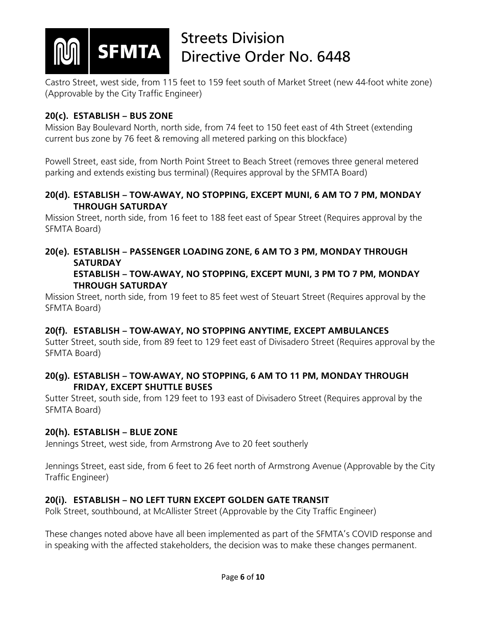

Castro Street, west side, from 115 feet to 159 feet south of Market Street (new 44-foot white zone) (Approvable by the City Traffic Engineer)

# **20(c). ESTABLISH – BUS ZONE**

Mission Bay Boulevard North, north side, from 74 feet to 150 feet east of 4th Street (extending current bus zone by 76 feet & removing all metered parking on this blockface)

Powell Street, east side, from North Point Street to Beach Street (removes three general metered parking and extends existing bus terminal) (Requires approval by the SFMTA Board)

## **20(d). ESTABLISH – TOW-AWAY, NO STOPPING, EXCEPT MUNI, 6 AM TO 7 PM, MONDAY THROUGH SATURDAY**

Mission Street, north side, from 16 feet to 188 feet east of Spear Street (Requires approval by the SFMTA Board)

# **20(e). ESTABLISH – PASSENGER LOADING ZONE, 6 AM TO 3 PM, MONDAY THROUGH SATURDAY**

## **ESTABLISH – TOW-AWAY, NO STOPPING, EXCEPT MUNI, 3 PM TO 7 PM, MONDAY THROUGH SATURDAY**

Mission Street, north side, from 19 feet to 85 feet west of Steuart Street (Requires approval by the SFMTA Board)

# **20(f). ESTABLISH – TOW-AWAY, NO STOPPING ANYTIME, EXCEPT AMBULANCES**

Sutter Street, south side, from 89 feet to 129 feet east of Divisadero Street (Requires approval by the SFMTA Board)

## **20(g). ESTABLISH – TOW-AWAY, NO STOPPING, 6 AM TO 11 PM, MONDAY THROUGH FRIDAY, EXCEPT SHUTTLE BUSES**

Sutter Street, south side, from 129 feet to 193 east of Divisadero Street (Requires approval by the SFMTA Board)

# **20(h). ESTABLISH – BLUE ZONE**

Jennings Street, west side, from Armstrong Ave to 20 feet southerly

Jennings Street, east side, from 6 feet to 26 feet north of Armstrong Avenue (Approvable by the City Traffic Engineer)

# **20(i). ESTABLISH – NO LEFT TURN EXCEPT GOLDEN GATE TRANSIT**

Polk Street, southbound, at McAllister Street (Approvable by the City Traffic Engineer)

These changes noted above have all been implemented as part of the SFMTA's COVID response and in speaking with the affected stakeholders, the decision was to make these changes permanent.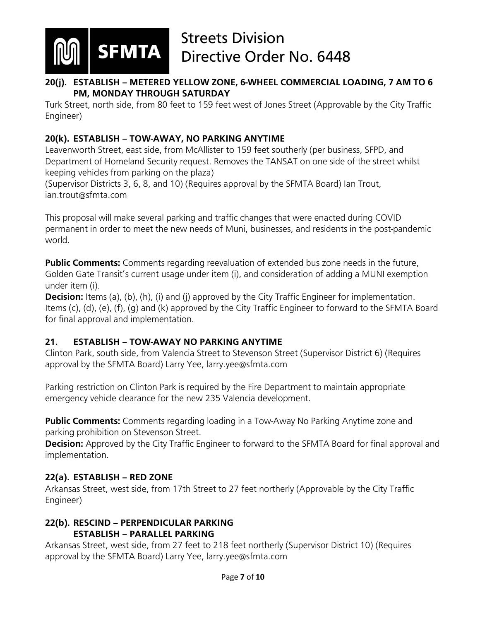

## **20(j). ESTABLISH – METERED YELLOW ZONE, 6-WHEEL COMMERCIAL LOADING, 7 AM TO 6 PM, MONDAY THROUGH SATURDAY**

Turk Street, north side, from 80 feet to 159 feet west of Jones Street (Approvable by the City Traffic Engineer)

# **20(k). ESTABLISH – TOW-AWAY, NO PARKING ANYTIME**

Leavenworth Street, east side, from McAllister to 159 feet southerly (per business, SFPD, and Department of Homeland Security request. Removes the TANSAT on one side of the street whilst keeping vehicles from parking on the plaza)

(Supervisor Districts 3, 6, 8, and 10) (Requires approval by the SFMTA Board) Ian Trout, ian.trout@sfmta.com

This proposal will make several parking and traffic changes that were enacted during COVID permanent in order to meet the new needs of Muni, businesses, and residents in the post-pandemic world.

**Public Comments:** Comments regarding reevaluation of extended bus zone needs in the future, Golden Gate Transit's current usage under item (i), and consideration of adding a MUNI exemption under item (i).

**Decision:** Items (a), (b), (h), (i) and (j) approved by the City Traffic Engineer for implementation. Items (c), (d), (e), (f), (g) and (k) approved by the City Traffic Engineer to forward to the SFMTA Board for final approval and implementation.

# **21. ESTABLISH – TOW-AWAY NO PARKING ANYTIME**

Clinton Park, south side, from Valencia Street to Stevenson Street (Supervisor District 6) (Requires approval by the SFMTA Board) Larry Yee, larry.yee@sfmta.com

Parking restriction on Clinton Park is required by the Fire Department to maintain appropriate emergency vehicle clearance for the new 235 Valencia development.

**Public Comments:** Comments regarding loading in a Tow-Away No Parking Anytime zone and parking prohibition on Stevenson Street.

**Decision:** Approved by the City Traffic Engineer to forward to the SFMTA Board for final approval and implementation.

# **22(a). ESTABLISH – RED ZONE**

Arkansas Street, west side, from 17th Street to 27 feet northerly (Approvable by the City Traffic Engineer)

# **22(b). RESCIND – PERPENDICULAR PARKING ESTABLISH – PARALLEL PARKING**

Arkansas Street, west side, from 27 feet to 218 feet northerly (Supervisor District 10) (Requires approval by the SFMTA Board) Larry Yee, larry.yee@sfmta.com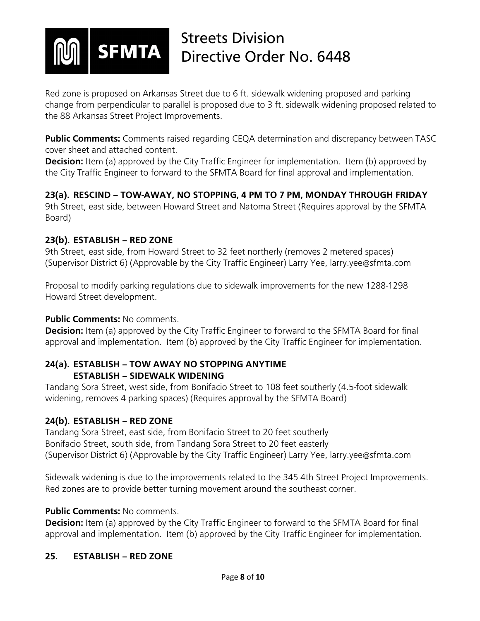

Red zone is proposed on Arkansas Street due to 6 ft. sidewalk widening proposed and parking change from perpendicular to parallel is proposed due to 3 ft. sidewalk widening proposed related to the 88 Arkansas Street Project Improvements.

**Public Comments:** Comments raised regarding CEQA determination and discrepancy between TASC cover sheet and attached content.

**Decision:** Item (a) approved by the City Traffic Engineer for implementation. Item (b) approved by the City Traffic Engineer to forward to the SFMTA Board for final approval and implementation.

**23(a). RESCIND – TOW-AWAY, NO STOPPING, 4 PM TO 7 PM, MONDAY THROUGH FRIDAY** 9th Street, east side, between Howard Street and Natoma Street (Requires approval by the SFMTA Board)

# **23(b). ESTABLISH – RED ZONE**

9th Street, east side, from Howard Street to 32 feet northerly (removes 2 metered spaces) (Supervisor District 6) (Approvable by the City Traffic Engineer) Larry Yee, larry.yee@sfmta.com

Proposal to modify parking regulations due to sidewalk improvements for the new 1288-1298 Howard Street development.

# **Public Comments: No comments.**

**Decision:** Item (a) approved by the City Traffic Engineer to forward to the SFMTA Board for final approval and implementation. Item (b) approved by the City Traffic Engineer for implementation.

## **24(a). ESTABLISH – TOW AWAY NO STOPPING ANYTIME ESTABLISH – SIDEWALK WIDENING**

Tandang Sora Street, west side, from Bonifacio Street to 108 feet southerly (4.5-foot sidewalk widening, removes 4 parking spaces) (Requires approval by the SFMTA Board)

## **24(b). ESTABLISH – RED ZONE**

Tandang Sora Street, east side, from Bonifacio Street to 20 feet southerly Bonifacio Street, south side, from Tandang Sora Street to 20 feet easterly (Supervisor District 6) (Approvable by the City Traffic Engineer) Larry Yee, larry.yee@sfmta.com

Sidewalk widening is due to the improvements related to the 345 4th Street Project Improvements. Red zones are to provide better turning movement around the southeast corner.

# **Public Comments:** No comments.

**Decision:** Item (a) approved by the City Traffic Engineer to forward to the SFMTA Board for final approval and implementation. Item (b) approved by the City Traffic Engineer for implementation.

# **25. ESTABLISH – RED ZONE**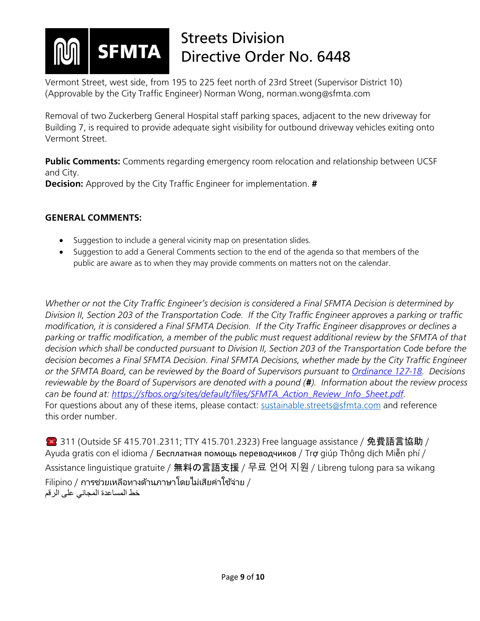

Vermont Street, west side, from 195 to 225 feet north of 23rd Street (Supervisor District 10) (Approvable by the City Traffic Engineer) Norman Wong, norman.wong@sfmta.com

Removal of two Zuckerberg General Hospital staff parking spaces, adjacent to the new driveway for Building 7, is required to provide adequate sight visibility for outbound driveway vehicles exiting onto Vermont Street.

**Public Comments:** Comments regarding emergency room relocation and relationship between UCSF and City. **Decision:** Approved by the City Traffic Engineer for implementation. **#**

## **GENERAL COMMENTS:**

- Suggestion to include a general vicinity map on presentation slides.
- Suggestion to add a General Comments section to the end of the agenda so that members of the public are aware as to when they may provide comments on matters not on the calendar.

*Whether or not the City Traffic Engineer's decision is considered a Final SFMTA Decision is determined by Division II, Section 203 of the Transportation Code. If the City Traffic Engineer approves a parking or traffic modification, it is considered a Final SFMTA Decision. If the City Traffic Engineer disapproves or declines a parking or traffic modification, a member of the public must request additional review by the SFMTA of that decision which shall be conducted pursuant to Division II, Section 203 of the Transportation Code before the decision becomes a Final SFMTA Decision. Final SFMTA Decisions, whether made by the City Traffic Engineer or the SFMTA Board, can be reviewed by the Board of Supervisors pursuant to [Ordinance 127-18.](https://sfbos.org/sites/default/files/o0127-18.pdf) Decisions reviewable by the Board of Supervisors are denoted with a pound (#). Information about the review process can be found at: [https://sfbos.org/sites/default/files/SFMTA\\_Action\\_Review\\_Info\\_Sheet.pdf.](https://sfbos.org/sites/default/files/SFMTA_Action_Review_Info_Sheet.pdf)*  For questions about any of these items, please contact: [sustainable.streets@sfmta.com](mailto:sustainable.streets@sfmta.com) and reference this order number.

**● 311 (Outside SF 415.701.2311; TTY 415.701.2323) Free language assistance / 免費語言協助 /** Ayuda gratis con el idioma / Бесплатная помощь переводчиков / Trợ giúp Thông dịch Miễn phí / Assistance linguistique gratuite / 無料の言語支援 / 무료 언어 지원 / Libreng tulong para sa wikang  $\,$ Filipino / การช่วยเหลือทางด้านภาษาโดยไม่เสียค่าใช้จ่าย / خط المساعدة المجاني على الرقم